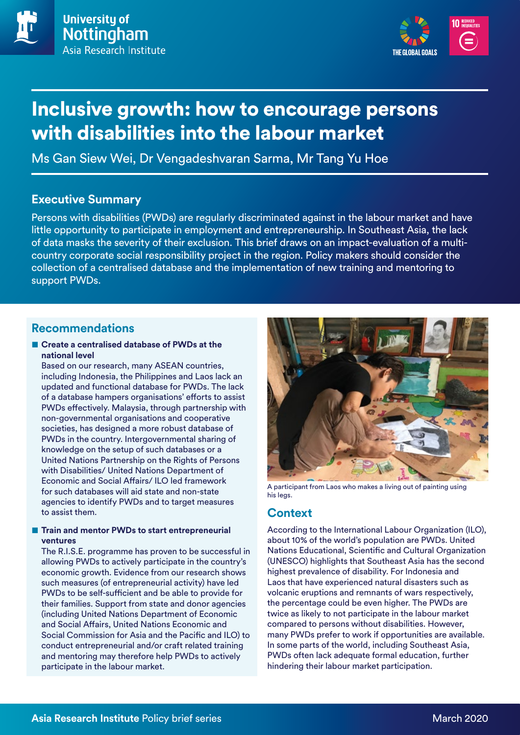



# Inclusive growth: how to encourage persons with disabilities into the labour market

Ms Gan Siew Wei, Dr Vengadeshvaran Sarma, Mr Tang Yu Hoe

## **Executive Summary**

Persons with disabilities (PWDs) are regularly discriminated against in the labour market and have little opportunity to participate in employment and entrepreneurship. In Southeast Asia, the lack of data masks the severity of their exclusion. This brief draws on an impact-evaluation of a multicountry corporate social responsibility project in the region. Policy makers should consider the collection of a centralised database and the implementation of new training and mentoring to support PWDs.

## **Recommendations**

#### ■ **Create a centralised database of PWDs at the national level**

Based on our research, many ASEAN countries, including Indonesia, the Philippines and Laos lack an updated and functional database for PWDs. The lack of a database hampers organisations' efforts to assist PWDs effectively. Malaysia, through partnership with non-governmental organisations and cooperative societies, has designed a more robust database of PWDs in the country. Intergovernmental sharing of knowledge on the setup of such databases or a United Nations Partnership on the Rights of Persons with Disabilities/ United Nations Department of Economic and Social Affairs/ ILO led framework for such databases will aid state and non-state agencies to identify PWDs and to target measures to assist them.

#### ■ **Train and mentor PWDs to start entrepreneurial ventures**

The R.I.S.E. programme has proven to be successful in allowing PWDs to actively participate in the country's economic growth. Evidence from our research shows such measures (of entrepreneurial activity) have led PWDs to be self-sufficient and be able to provide for their families. Support from state and donor agencies (including United Nations Department of Economic and Social Affairs, United Nations Economic and Social Commission for Asia and the Pacific and ILO) to conduct entrepreneurial and/or craft related training and mentoring may therefore help PWDs to actively participate in the labour market.



A participant from Laos who makes a living out of painting using his legs.

# **Context**

According to the International Labour Organization (ILO), about 10% of the world's population are PWDs. United Nations Educational, Scientific and Cultural Organization (UNESCO) highlights that Southeast Asia has the second highest prevalence of disability. For Indonesia and Laos that have experienced natural disasters such as volcanic eruptions and remnants of wars respectively, the percentage could be even higher. The PWDs are twice as likely to not participate in the labour market compared to persons without disabilities. However, many PWDs prefer to work if opportunities are available. In some parts of the world, including Southeast Asia, PWDs often lack adequate formal education, further hindering their labour market participation.